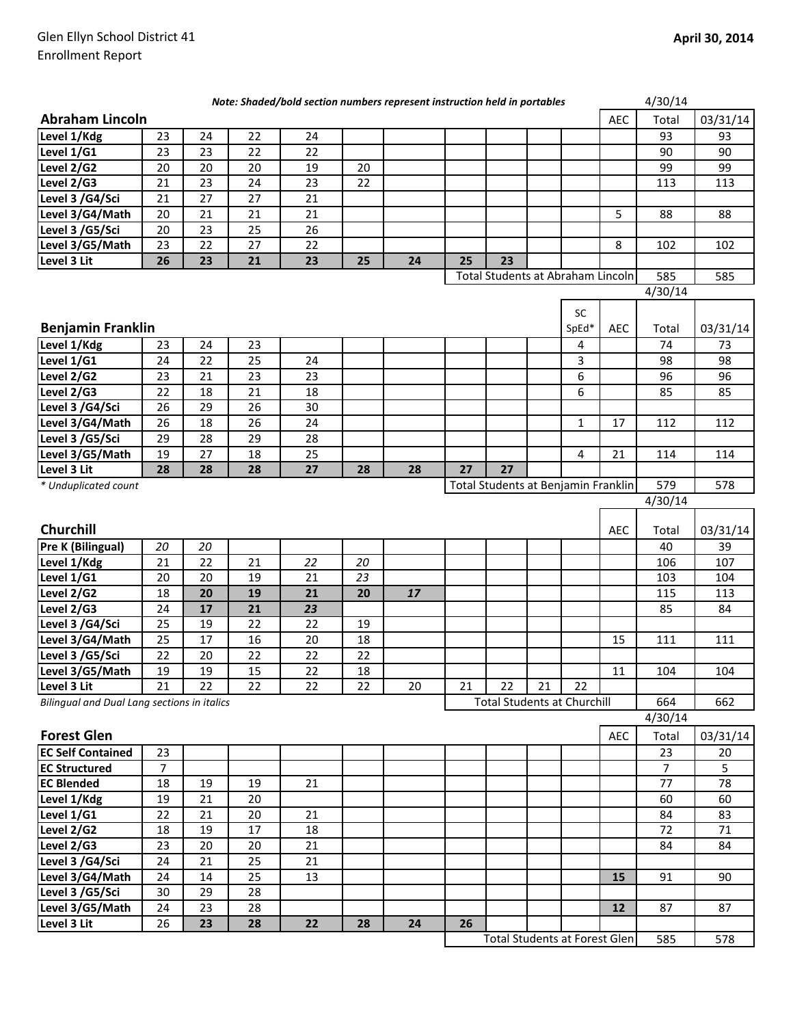|                                             |                |    |    | Note: Shaded/bold section numbers represent instruction held in portables |    |    |    |                                      |    |              |            | 4/30/14             |                |
|---------------------------------------------|----------------|----|----|---------------------------------------------------------------------------|----|----|----|--------------------------------------|----|--------------|------------|---------------------|----------------|
| <b>Abraham Lincoln</b>                      |                |    |    |                                                                           |    |    |    |                                      |    |              | <b>AEC</b> | Total               | 03/31/14       |
| Level 1/Kdg                                 | 23             | 24 | 22 | 24                                                                        |    |    |    |                                      |    |              |            | 93                  | 93             |
| Level 1/G1                                  | 23             | 23 | 22 | 22                                                                        |    |    |    |                                      |    |              |            | 90                  | 90             |
| Level 2/G2                                  | 20             | 20 | 20 | 19                                                                        | 20 |    |    |                                      |    |              |            | 99                  | 99             |
| Level 2/G3                                  | 21             | 23 | 24 | 23                                                                        | 22 |    |    |                                      |    |              |            | 113                 | 113            |
| Level 3 /G4/Sci                             | 21             | 27 | 27 | 21                                                                        |    |    |    |                                      |    |              |            |                     |                |
| Level 3/G4/Math                             | 20             | 21 | 21 | 21                                                                        |    |    |    |                                      |    |              | 5          | 88                  | 88             |
| Level 3 /G5/Sci                             | 20             | 23 | 25 | 26                                                                        |    |    |    |                                      |    |              |            |                     |                |
| Level 3/G5/Math                             | 23             | 22 | 27 | 22                                                                        |    |    |    |                                      |    |              | 8          | 102                 | 102            |
| Level 3 Lit                                 | 26             | 23 | 21 | 23                                                                        | 25 | 24 | 25 | 23                                   |    |              |            |                     |                |
|                                             |                |    |    |                                                                           |    |    |    | Total Students at Abraham Lincoln    |    |              |            | 585                 | 585            |
|                                             |                |    |    |                                                                           |    |    |    |                                      |    |              |            | 4/30/14             |                |
|                                             |                |    |    |                                                                           |    |    |    |                                      |    | <b>SC</b>    |            |                     |                |
| <b>Benjamin Franklin</b>                    |                |    |    |                                                                           |    |    |    |                                      |    | SpEd*        | <b>AEC</b> | Total               | 03/31/14       |
| Level 1/Kdg                                 | 23             | 24 | 23 |                                                                           |    |    |    |                                      |    | 4            |            | 74                  | 73             |
| Level 1/G1                                  | 24             | 22 | 25 | 24                                                                        |    |    |    |                                      |    | 3            |            | 98                  | 98             |
| Level 2/G2                                  | 23             | 21 | 23 | 23                                                                        |    |    |    |                                      |    | 6            |            | 96                  | 96             |
| Level 2/G3                                  | 22             | 18 | 21 | 18                                                                        |    |    |    |                                      |    | 6            |            | 85                  | 85             |
| Level 3 /G4/Sci                             | 26             | 29 | 26 | 30                                                                        |    |    |    |                                      |    |              |            |                     |                |
| Level 3/G4/Math                             | 26             | 18 | 26 | 24                                                                        |    |    |    |                                      |    | $\mathbf{1}$ | 17         | 112                 | 112            |
| Level 3 /G5/Sci                             | 29             | 28 | 29 | 28                                                                        |    |    |    |                                      |    |              |            |                     |                |
| Level 3/G5/Math                             | 19             | 27 | 18 | 25                                                                        |    |    |    |                                      |    | 4            | 21         | 114                 | 114            |
| Level 3 Lit                                 | 28             | 28 | 28 | 27                                                                        | 28 | 28 | 27 | 27                                   |    |              |            |                     |                |
| * Unduplicated count                        |                |    |    |                                                                           |    |    |    | Total Students at Benjamin Franklin  |    |              |            | 579                 | 578            |
|                                             |                |    |    |                                                                           |    |    |    |                                      |    |              |            | $\frac{1}{4}/30/14$ |                |
| Churchill                                   |                |    |    |                                                                           |    |    |    |                                      |    |              | <b>AEC</b> |                     |                |
|                                             | 20             | 20 |    |                                                                           |    |    |    |                                      |    |              |            | Total<br>40         | 03/31/14<br>39 |
| Pre K (Bilingual)                           | 21             | 22 | 21 |                                                                           | 20 |    |    |                                      |    |              |            |                     | 107            |
| Level 1/Kdg<br>Level 1/G1                   | 20             | 20 | 19 | 22<br>21                                                                  | 23 |    |    |                                      |    |              |            | 106<br>103          | 104            |
| Level 2/G2                                  | 18             | 20 | 19 | 21                                                                        | 20 | 17 |    |                                      |    |              |            | 115                 | 113            |
| Level 2/G3                                  | 24             | 17 | 21 | 23                                                                        |    |    |    |                                      |    |              |            | 85                  | 84             |
| Level 3 /G4/Sci                             | 25             | 19 | 22 | 22                                                                        | 19 |    |    |                                      |    |              |            |                     |                |
| Level 3/G4/Math                             | 25             | 17 | 16 | 20                                                                        | 18 |    |    |                                      |    |              | 15         | 111                 | 111            |
| Level 3 /G5/Sci                             | 22             | 20 | 22 | 22                                                                        | 22 |    |    |                                      |    |              |            |                     |                |
| Level 3/G5/Math                             | 19             | 19 | 15 | $\overline{22}$                                                           | 18 |    |    |                                      |    |              | 11         | 104                 | 104            |
| Level 3 Lit                                 | 21             | 22 | 22 | 22                                                                        | 22 | 20 | 21 | 22                                   | 21 | 22           |            |                     |                |
| Bilingual and Dual Lang sections in italics |                |    |    |                                                                           |    |    |    | <b>Total Students at Churchill</b>   |    |              |            | 664                 | 662            |
|                                             |                |    |    |                                                                           |    |    |    |                                      |    |              |            | 4/30/14             |                |
| <b>Forest Glen</b>                          |                |    |    |                                                                           |    |    |    |                                      |    |              | <b>AEC</b> | Total               | 03/31/14       |
| <b>EC Self Contained</b>                    | 23             |    |    |                                                                           |    |    |    |                                      |    |              |            | 23                  | 20             |
| <b>EC Structured</b>                        | $\overline{7}$ |    |    |                                                                           |    |    |    |                                      |    |              |            | $\overline{7}$      | 5              |
| <b>EC Blended</b>                           | 18             | 19 | 19 | 21                                                                        |    |    |    |                                      |    |              |            | 77                  | 78             |
| Level 1/Kdg                                 | 19             | 21 | 20 |                                                                           |    |    |    |                                      |    |              |            | 60                  | 60             |
| Level 1/G1                                  | 22             | 21 | 20 | 21                                                                        |    |    |    |                                      |    |              |            | 84                  | 83             |
| Level 2/G2                                  | 18             | 19 | 17 | 18                                                                        |    |    |    |                                      |    |              |            | 72                  | 71             |
| Level 2/G3                                  | 23             | 20 | 20 | 21                                                                        |    |    |    |                                      |    |              |            | 84                  | 84             |
| Level 3 /G4/Sci                             | 24             | 21 | 25 | 21                                                                        |    |    |    |                                      |    |              |            |                     |                |
| Level 3/G4/Math                             | 24             | 14 | 25 | 13                                                                        |    |    |    |                                      |    |              | 15         | 91                  | 90             |
| Level 3 /G5/Sci                             | 30             | 29 | 28 |                                                                           |    |    |    |                                      |    |              |            |                     |                |
| Level 3/G5/Math                             | 24             | 23 | 28 |                                                                           |    |    |    |                                      |    |              | 12         | 87                  | 87             |
| Level 3 Lit                                 | 26             | 23 | 28 | 22                                                                        | 28 | 24 | 26 |                                      |    |              |            |                     |                |
|                                             |                |    |    |                                                                           |    |    |    | <b>Total Students at Forest Glen</b> |    |              |            | 585                 | 578            |